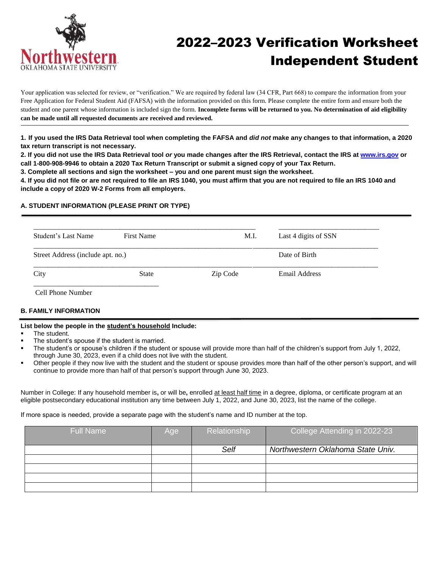

# 2022–2023 Verification Worksheet Independent Student

Your application was selected for review, or "verification." We are required by federal law (34 CFR, Part 668) to compare the information from your Free Application for Federal Student Aid (FAFSA) with the information provided on this form. Please complete the entire form and ensure both the student and one parent whose information is included sign the form. **Incomplete forms will be returned to you. No determination of aid eligibility can be made until all requested documents are received and reviewed.**

**1. If you used the IRS Data Retrieval tool when completing the FAFSA and** *did not* **make any changes to that information, a 2020 tax return transcript is not necessary.**

**2. If you did not use the IRS Data Retrieval tool** *or* **you made changes after the IRS Retrieval, contact the IRS at [www.irs.gov](http://www.irs.gov/) or call 1-800-908-9946 to obtain a 2020 Tax Return Transcript or submit a signed copy of your Tax Return.**

**3. Complete all sections and sign the worksheet – you and one parent must sign the worksheet.**

**4. If you did not file or are not required to file an IRS 1040, you must affirm that you are not required to file an IRS 1040 and include a copy of 2020 W-2 Forms from all employers.**

## **A. STUDENT INFORMATION (PLEASE PRINT OR TYPE)**

| Student's Last Name               | <b>First Name</b> | M.I.     | Last 4 digits of SSN |
|-----------------------------------|-------------------|----------|----------------------|
| Street Address (include apt. no.) |                   |          | Date of Birth        |
| City                              | <b>State</b>      | Zip Code | Email Address        |

Cell Phone Number

# **B. FAMILY INFORMATION**

#### **List below the people in the student's household Include:**

- The student.
- The student's spouse if the student is married.
- The student's or spouse's children if the student or spouse will provide more than half of the children's support from July 1, 2022, through June 30, 2023, even if a child does not live with the student.
- Other people if they now live with the student and the student or spouse provides more than half of the other person's support, and will continue to provide more than half of that person's support through June 30, 2023.

Number in College: If any household member is**,** or will be**,** enrolled at least half time in a degree, diploma, or certificate program at an eligible postsecondary educational institution any time between July 1, 2022, and June 30, 2023, list the name of the college.

If more space is needed, provide a separate page with the student's name and ID number at the top.

| <b>Full Name</b> | Age | Relationship | College Attending in 2022-23      |
|------------------|-----|--------------|-----------------------------------|
|                  |     | Self         | Northwestern Oklahoma State Univ. |
|                  |     |              |                                   |
|                  |     |              |                                   |
|                  |     |              |                                   |
|                  |     |              |                                   |